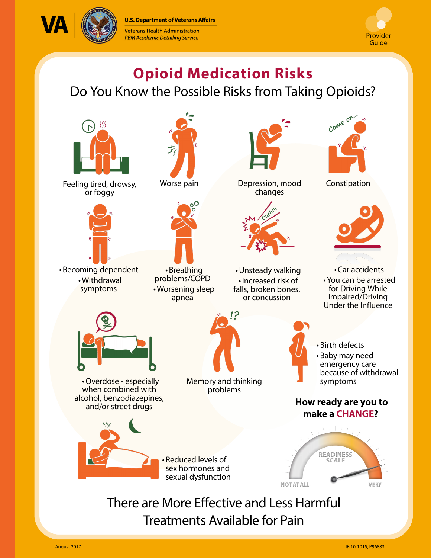**U.S. Department of Veterans Affairs** 







# **Opioid Medication Risks**

Do You Know the Possible Risks from Taking Opioids?



Feeling tired, drowsy, or foggy



• Becoming dependent • Withdrawal symptoms



Worse pain



• Breathing problems/COPD • Worsening sleep apnea



Depression, mood Constipation changes



• Unsteady walking • Increased risk of falls, broken bones, or concussion





• Car accidents

• You can be arrested for Driving While Impaired/Driving Under the Influence



• Overdose - especially when combined with alcohol, benzodiazepines, and/or street drugs



Memory and thinking problems



- Birth defects
- Baby may need emergency care because of withdrawal symptoms

### **How ready are you to make a CHANGE?**



## There are More Effective and Less Harmful Treatments Available for Pain

• Reduced levels of sex hormones and sexual dysfunction